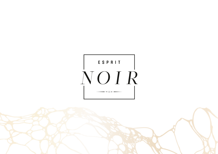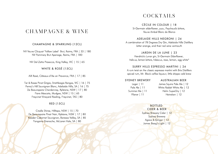# CHAMPAGNE & WINE

#### CHAMPAGNE & SPARKLING (12CL)

NV Veuve Clicquot 'Yellow Label' Brut, Reims, FRA | 33 | 180 NV Pommery Brut Apanage, Reims, FRA | 180

NV Dal Zotto Prosecco, King Valley, VIC | 15 | 65

## WHITE & ROSÉ (15CL)

AIX Rosé, Côteaux d'Aix en Provence, FRA | 17 | 85

Tar & Roses Pinot Grigio, Strathbogie Ranges, VIC | 16 | 75 Penny's Hill Sauvignon Blanc, Adelaide Hills, SA | 16 | 75 De Beaurepaire Chardonnay, Rylstone, NSW | 17 | 80 Fiore Moscato, Mudgee, NSW | 15 | 65 Freycinet Vineyard Riesling, Freycinet, TAS | 80

### RED (15CL)

Cradle Shiraz, Hilltops, NSW | 15 | 70 De Beaurepaire Pinot Noir, Rylstone, NSW | 17 | 80 Kaesler Cabernet Sauvignon, Barossa Valley, SA | 85 Yangarra Grenache, McLaren Vale, SA | 80

# COCKTAILS

CÉCILE IN COLOUR | 18

St-Germain elderflower, yuzu, Peychaud's bitters, Veuve Ambal Blanc de Blancs

#### ADELAIDE HILLS NEGRONI | 24

A combination of 78 Degrees Dry Gin, Adelaide Hills Distillery bitter orange, and their red wine vermouth

#### JARDIN DE LA LUNE | 23

Hendrick's Lunar gin, St-Germain Elderflower, Italicus, lemon bitters, hibiscus, rose, lemon, egg white\*

#### SURRY HILLS ESPRESSO MARTINI | 24

A rum twist on the classic espresso martini with Brix Distillers spiced rum, Mr. Black coffee liqueur, little drippa cold brew

#### SYDNEY BREWERY

#### AUSTRALIAN BEER

Lager | 11 Pale Ale | 11 Summer Ale | 11 Pilsner | 11

James Squire Pale Ale | 12 White Rabbit White Ale | 12 Hahn SuperDry | 12 Heineken | 12

#### **BOTTLED**

CIDER & BEER Sydney Brewery Cider | 12 Sydney Brewery Agave & Ginger | 12 James Boag's Light | 12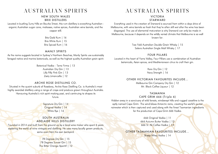# AUSTRALIAN SPIRITS

## NEW SOUTH WALES BRIX DISTILLERS

Located in bustling Surry Hills on Bourke Street, this rum distillery is everything Australian organic Australian sugar cane, molasses, native spices, Australian wine barrels, and the copper still.

> Brix Gold Rum | 16 Brix White Rum | 15 Brix Spiced Rum | 16

#### **MANLY SPIRITS**

As the name suggests located in Sydney's Northern Beaches, Manly Spirits use sustainably foraged native and marine botanicals, as well as the highest quality Australian grain spirit.

> Botanical Vodka - Terra Firma | 13 Australian Dry Gin | 13 Lilly Pilly Pink Gin | 13 Zesty Limoncello | 12

#### ARCHIE ROSE DISTILLING CO.

Situated in the quaint suburb of Rosebery, Archie Rose Distilling Co. is Australia's most highly awarded distillery using a range of crops and produce grown throughout Australia. Honouring Australia's rich spirit-making past, and continuing to shapes its

future.

Signature Dry Gin | 14 Original Vodka | 14 White Rye | 16

## SOUTH AUSTRALIA ADELAIDE HILLS DISTILLERY

Founded in 2014 and built from the ground up by a local wine maker who spent 6 years exploring the world of wine vintages and distilling. He uses many locally grown products, some even from his own backyard.

> 78 Degrees Dry Gin | 15 78 Degrees Sunset Gin | 15 The Bitter Orange Aperitif | 12

# AUSTRALIAN SPIRITS

### VICTORIA STARWARD

Everything used in the creation of Starward is sourced from within a days drive of Melbourne, with wine barrels so fresh that they're often still wet after the wine has been disgorged. The use of elemental maturation is why Starward can only be made in Melbourne, because it depends on the wildly varied climate that Melbourne is so well known for.

> Two Fold Australian Double Grain Whisky | 15 Solera Australian Single Malt Whisky | 17

#### **FOUR PILLARS**

Located in the heart of Yarra Valley, Four Pillars use a combination of Australian botanicals, Asian spices, and Mediterranean citrus to craft their gin.

> Rare Dry Gin | 12 Navy Strength | 16

#### OTHER VICTORIAN FAVOURITES INCLUDE...

Melbourne Gin Company Dry Gin | 12 Mr. Black Coffee Liqueur | 12

## TASMANIA CAPE GRIM 666 (Triple 6)

Hidden away in a sanctuary of wild forests, windswept hills and rugged coastline is the aptly named Cape Grim. The wind blows Antarctic rains, creating the world's purest rainwater which is then captured and used along with the finest Tasmanian ingredients for the production of Cape Grim 666 Vodka.

> 666 Original Vodka | 11 666 Autumn Butter Vodka | 12 666 St. Ali Coffee Vodka | 13

#### OTHER TASMANIAN FAVOURITES INCLUDE...

Sheep Whey Vodka | 14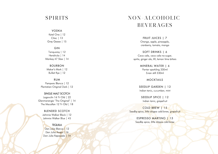# *SPIRITS*

V O D K A

Ketel One | 12 Cîroc | 13 G r e y G o o s e | 1 5

GIN

Tanqueray | 12 Hendricks | 14 M o n k e y 4 7 Slo e | 1 4

B O U R B O N Maker's Mark | 12 B ulleit R y e | 1 2

R U M Pampero Blanco | 12 Plantation Original Dark | 12

SINGLE MALT SCOTCH Lagavulin 16 Yr Old | 22 Glenmorangie 'The Original' | 14 The Macallan 12 Yr Old | 18

BLENDED SCOTCH Johnnie Walker Black | 12 J o h n nie W alk e r Blu e | 4 5

T E Q UILA Don Julio Blanco | 12 Don Julio Anejo | 16 Don Julio Reposado | 14

# NON-ALCOHOLIC **BEVERAGES**

FRUIT JUICES | 7 Orange, apple, pineapple, cranberry, tomato, mango

SOFT DRINKS | 6 Coca cola, coca cola no sugar, sprite, ginger ale, lift, lemon lime bitters

> MINERAL WATER | 6 Perrier sparkling 330ml Evian still 330ml

> > MOCKTAILS

SEEDLIP GARDEN | 12 Indian tonic, cucumber, mint

SEEDLIP SPICE | 12 Indian tonic, grapefruit

COLD BREW | 15 Seedlip spice, little drippa cold brew, grapefruit

> ESPRESSO MARTINO | 15 Seedlip spice, l<mark>i</mark>ttle <mark>drippa cold brew</mark>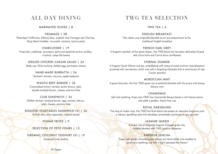## ALL DAY DINING

## MARINATED OLIVES | 8

FROMAGE | 28 Woombye Truffle brie, Milawa blue, washed rind Fromager des Clarines, King Island cheddar, muscatel, crackers, quince paste

#### CHARCUTERIE | 19

Prosciutto, calabrese, saucisson, pork and pistachio terrine, pickles, mustard, crispy flat bread

GRILLED CHICKEN CAESAR SALAD | 24 Baby cos, Ortiz anchovy, boiled egg, parmesan cheese

> HAND-MADE BURRATTA | 24 Heirloom tomato, mizuma, apple balsamic

WAGYU BEEF BURGER | 32 Caramelised onion, tomato, butter lettuce, aioli, double smoked bacon, cheese, pomme frites

CLUB SANDWICH | 26 Grilled chicken, smoked bacon, egg, tomato, lettuce, aioli, cheese, pomme frites

ROASTED VEGETABLES SANDWICH (V) | 26 Buffalo feta, olive tapenade, ciabatta bread

POMME FRITES | 9

SELECTION OF PETIT FOURS | 15

ORGANIC COCONUT YOGHURT (V) | 19 Seasonal fruits, praline

# TWG TEA SELECTION

TWG TEA | 6

ENGLISH BREAKFAST

This classic was originally blended as an accompaniment to the traditional English breakfast

#### FRENCH EARL GREY

A fragrant variation of the great classic, this TWG black tea has been delicately infused with citrus fruits and French blue cornflowers

#### ETERNAL SUMMER

A fragrant South African red tea, embellished with notes of sweet summer rose blossoms accented with raw berries, which end with a lingering aftertaste that is reminiscent of ripe Tuscan peaches

#### MOROCCAN MINT

A great favourite, this fine TWG green tea is perfectly blended with the suave and strong Sahara mint

#### CHAMOMILE

Soft and soothing, these rare TWG Tea chamomile flowers boast a rich honey aroma and yield a golden, theine-free cup

#### ROYAL DARJEELING

The king of Indian teas, this TWG first flush black tea boasts an exquisite fragrance and a vibrant, sparkling taste that develops remarkable overtones of ripe apricots

#### JASMINE QUEEN

A suave cup of elegantly fragrant Chinese green tea, lavishly blended with TWG jasmine blossoms

## EMPEROR SENCHA

These high-grade, emerald-green leaves are hand-rolled into needles to produce a soothing cup with a light seaweed-like flavour

(V) Vegan